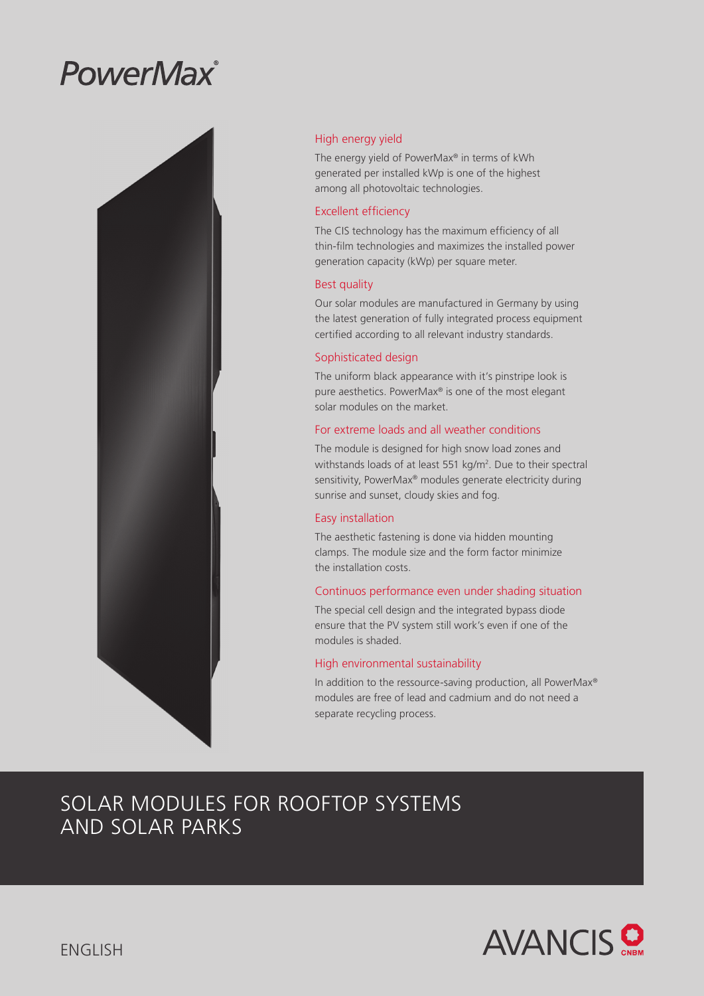# PowerMax®



# High energy yield

The energy yield of PowerMax® in terms of kWh generated per installed kWp is one of the highest among all photovoltaic technologies.

## Excellent efficiency

The CIS technology has the maximum efficiency of all thin-film technologies and maximizes the installed power generation capacity (kWp) per square meter.

## Best quality

Our solar modules are manufactured in Germany by using the latest generation of fully integrated process equipment certified according to all relevant industry standards.

# Sophisticated design

The uniform black appearance with it's pinstripe look is pure aesthetics. PowerMax® is one of the most elegant solar modules on the market.

# For extreme loads and all weather conditions

The module is designed for high snow load zones and withstands loads of at least 551 kg/m<sup>2</sup>. Due to their spectral sensitivity, PowerMax® modules generate electricity during sunrise and sunset, cloudy skies and fog.

# Easy installation

The aesthetic fastening is done via hidden mounting clamps. The module size and the form factor minimize the installation costs.

# Continuos performance even under shading situation

The special cell design and the integrated bypass diode ensure that the PV system still work's even if one of the modules is shaded.

### High environmental sustainability

In addition to the ressource-saving production, all PowerMax® modules are free of lead and cadmium and do not need a separate recycling process.

# SOLAR MODULES FOR ROOFTOP SYSTEMS AND SOLAR PARKS